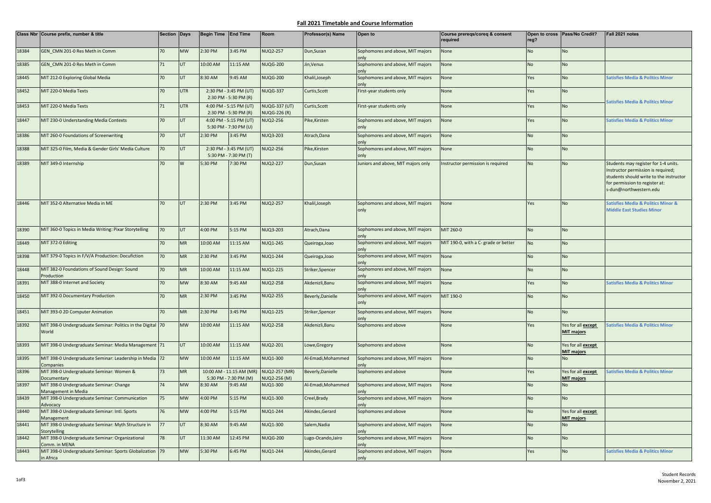## **Fall 2021 Timetable and Course Information**

|       | Class Nbr Course prefix, number & title                              | Section Days |            | Begin Time End Time                             |                                                   | Room                                        | Professor(s) Name  | Open to                                  | Course prereqs/coreq & consent<br>required | reg?      | Open to cross Pass/No Credit?           | Fall 2021 notes                                                                                                                                                                   |
|-------|----------------------------------------------------------------------|--------------|------------|-------------------------------------------------|---------------------------------------------------|---------------------------------------------|--------------------|------------------------------------------|--------------------------------------------|-----------|-----------------------------------------|-----------------------------------------------------------------------------------------------------------------------------------------------------------------------------------|
| 18384 | GEN CMN 201-0 Res Meth in Comm                                       | 70           | <b>MW</b>  | 2:30 PM                                         | 3:45 PM                                           | <b>NUQ2-257</b>                             | Dun, Susan         | Sophomores and above, MIT majors<br>only | None                                       | <b>No</b> | No                                      |                                                                                                                                                                                   |
| 18385 | GEN CMN 201-0 Res Meth in Comm                                       | 71           | UT         | 10:00 AM                                        | 11:15 AM                                          | <b>NUQG-200</b>                             | Jin, Venus         | Sophomores and above, MIT majors<br>only | None                                       | No        | No                                      |                                                                                                                                                                                   |
| 18445 | MIT 212-0 Exploring Global Media                                     | 70           | UT         | 3:30 AM                                         | 9:45 AM                                           | <b>NUQG-200</b>                             | Khalil, Joseph     | Sophomores and above, MIT majors<br>onlv | None                                       | Yes       | No                                      | <b>Satisfies Media &amp; Politics Minor</b>                                                                                                                                       |
| 18452 | MIT 220-0 Media Texts                                                | 70           | <b>UTR</b> |                                                 | 2:30 PM - 3:45 PM (UT)<br>2:30 PM - 5:30 PM (R)   | NUQG-337                                    | Curtis, Scott      | First-year students only                 | None                                       | Yes       | No                                      |                                                                                                                                                                                   |
| 18453 | MIT 220-0 Media Texts                                                | 71           | <b>UTR</b> |                                                 | 4:00 PM - 5:15 PM (UT)<br>2:30 PM - 5:30 PM (R)   | <b>NUQG-337 (UT)</b><br><b>NUQG-226 (R)</b> | Curtis, Scott      | First-year students only                 | None                                       | Yes       | <b>No</b>                               | Satisfies Media & Politics Minor                                                                                                                                                  |
| 18447 | MIT 230-0 Understanding Media Contexts                               | 70           | UT         | 4:00 PM - 5:15 PM (UT)<br>5:30 PM - 7:30 PM (U) |                                                   | <b>NUQ2-256</b>                             | Pike, Kirsten      | Sophomores and above, MIT majors<br>onlv | None                                       | Yes       | No                                      | <b>Satisfies Media &amp; Politics Minor</b>                                                                                                                                       |
| 18386 | MIT 260-0 Foundations of Screenwriting                               | 70           | UT         | 2:30 PM                                         | 3:45 PM                                           | <b>NUQ3-203</b>                             | Atrach, Dana       | Sophomores and above, MIT majors         | None                                       | No        | No                                      |                                                                                                                                                                                   |
| 18388 | MIT 325-0 Film, Media & Gender Girls' Media Culture                  | 70           | UT         | 2:30 PM - 3:45 PM (UT)<br>5:30 PM - 7:30 PM (T) |                                                   | <b>NUQ2-256</b>                             | Pike, Kirsten      | Sophomores and above, MIT majors<br>onlv | None                                       | <b>No</b> | No                                      |                                                                                                                                                                                   |
| 18389 | MIT 349-0 Internship                                                 | 70           | W          | 5:30 PM                                         | 7:30 PM                                           | <b>NUQ2-227</b>                             | Dun, Susan         | Juniors and above, MIT majors only       | Instructor permission is required          | No        | No                                      | Students may register for 1-4 units.<br>Instructor permission is required;<br>students should write to the instructor<br>for permission to register at:<br>s-dun@northwestern.edu |
| 18446 | MIT 352-0 Alternative Media in ME                                    | 70           | UT         | 2:30 PM                                         | 3:45 PM                                           | <b>NUQ2-257</b>                             | Khalil, Joseph     | Sophomores and above, MIT majors<br>only | None                                       | Yes       | No                                      | Satisfies Media & Politics Minor &<br><b>Middle East Studies Minor</b>                                                                                                            |
| 18390 | MIT 360-0 Topics in Media Writing: Pixar Storytelling                | 70           | UT         | 4:00 PM                                         | 5:15 PM                                           | <b>NUQ3-203</b>                             | Atrach, Dana       | Sophomores and above, MIT majors<br>onlv | MIT 260-0                                  | <b>No</b> | No                                      |                                                                                                                                                                                   |
| 18449 | MIT 372-0 Editing                                                    | 70           | <b>MR</b>  | 10:00 AM                                        | 11:15 AM                                          | <b>NUQ1-245</b>                             | Queiroga, Joao     | Sophomores and above, MIT majors<br>onlv | MIT 190-0, with a C- grade or better       | <b>No</b> | No                                      |                                                                                                                                                                                   |
| 18398 | MIT 379-0 Topics in F/V/A Production: Docufiction                    | 70           | <b>MR</b>  | 2:30 PM                                         | 3:45 PM                                           | <b>NUQ1-244</b>                             | Queiroga, Joao     | Sophomores and above, MIT majors<br>onlv | None                                       | <b>No</b> | No                                      |                                                                                                                                                                                   |
| 18448 | MIT 382-0 Foundations of Sound Design: Sound<br>Production           | 70           | <b>MR</b>  | 10:00 AM                                        | 11:15 AM                                          | <b>NUQ1-225</b>                             | Striker, Spencer   | Sophomores and above, MIT majors         | None                                       | No        | No                                      |                                                                                                                                                                                   |
| 18391 | MIT 388-0 Internet and Society                                       | 70           | <b>MW</b>  | 8:30 AM                                         | 9:45 AM                                           | <b>NUQ2-258</b>                             | Akdenizli, Banu    | Sophomores and above, MIT majors<br>onlv | None                                       | Yes       | No                                      | <b>Satisfies Media &amp; Politics Minor</b>                                                                                                                                       |
| 18450 | MIT 392-0 Documentary Production                                     | 70           | <b>MR</b>  | 2:30 PM                                         | 3:45 PM                                           | <b>NUQ2-255</b>                             | Beverly, Danielle  | Sophomores and above, MIT majors<br>onlv | MIT 190-0                                  | No        | No                                      |                                                                                                                                                                                   |
| 18451 | MIT 393-0 2D Computer Animation                                      | 70           | <b>MR</b>  | 2:30 PM                                         | 3:45 PM                                           | <b>NUQ1-225</b>                             | Striker, Spencer   | Sophomores and above, MIT majors<br>nnly | None                                       | <b>No</b> | No                                      |                                                                                                                                                                                   |
| 18392 | MIT 398-0 Undergraduate Seminar: Politics in the Digital<br>World    | 70           | <b>MW</b>  | 10:00 AM                                        | 11:15 AM                                          | <b>NUQ2-258</b>                             | Akdenizli, Banu    | Sophomores and above                     | None                                       | Yes       | Yes for all except<br><b>MIT majors</b> | <b>Satisfies Media &amp; Politics Minor</b>                                                                                                                                       |
| 18393 | MIT 398-0 Undergraduate Seminar: Media Management 71                 |              | <b>UT</b>  | 10:00 AM                                        | 11:15 AM                                          | <b>NUQ2-201</b>                             | Lowe, Gregory      | Sophomores and above                     | None                                       | No        | Yes for all except<br><b>MIT majors</b> |                                                                                                                                                                                   |
| 18395 | MIT 398-0 Undergraduate Seminar: Leadership in Media 72<br>Companies |              | <b>MW</b>  | 10:00 AM                                        | 11:15 AM                                          | NUQ1-300                                    | Al-Emadi, Mohammed | Sophomores and above, MIT majors<br>nnly | None                                       | No        | No                                      |                                                                                                                                                                                   |
| 18396 | MIT 398-0 Undergraduate Seminar: Women &<br>Documentary              | 73           | <b>MR</b>  |                                                 | 10:00 AM - 11:15 AM (MR)<br>5:30 PM - 7:30 PM (M) | NUQ2-257 (MR)<br>NUQ2-256 (M)               | Beverly, Danielle  | Sophomores and above                     | None                                       | Yes       | Yes for all except<br><b>MIT majors</b> | Satisfies Media & Politics Minor                                                                                                                                                  |
| 18397 | MIT 398-0 Undergraduate Seminar: Change<br>Management in Media       | 74           | <b>MW</b>  | 3:30 AM                                         | 9:45 AM                                           | NUQ1-300                                    | Al-Emadi, Mohammed | Sophomores and above, MIT majors         | None                                       | No        | No                                      |                                                                                                                                                                                   |
| 18439 | MIT 398-0 Undergraduate Seminar: Communication<br>Advocacy           | 75           | <b>MW</b>  | 4:00 PM                                         | 5:15 PM                                           | NUQ1-300                                    | Creel, Brady       | Sophomores and above, MIT majors<br>nnlı | None                                       | <b>No</b> | No                                      |                                                                                                                                                                                   |
| 18440 | MIT 398-0 Undergraduate Seminar: Intl. Sports<br>Management          | 76           | <b>MW</b>  | 4:00 PM                                         | 5:15 PM                                           | <b>NUQ1-244</b>                             | Akindes, Gerard    | Sophomores and above                     | None                                       | No        | Yes for all except<br><b>MIT majors</b> |                                                                                                                                                                                   |
| 18441 | MIT 398-0 Undergraduate Seminar: Myth Structure in<br>Storytelling   | 77           | <b>UT</b>  | 8:30 AM                                         | 9:45 AM                                           | NUQ1-300                                    | Salem.Nadia        | Sophomores and above, MIT majors         | None                                       | <b>No</b> | No                                      |                                                                                                                                                                                   |
| 18442 | MIT 398-0 Undergraduate Seminar: Organizational<br>Comm. in MENA     | 78           | <b>UT</b>  | 11:30 AM                                        | 12:45 PM                                          | <b>NUQG-200</b>                             | Lugo-Ocando, Jairo | Sophomores and above, MIT majors<br>onlv | None                                       | <b>No</b> | No                                      |                                                                                                                                                                                   |
| 18443 | MIT 398-0 Undergraduate Seminar: Sports Globalization<br>in Africa   | 79           | <b>MW</b>  | 5:30 PM                                         | 6:45 PM                                           | <b>NUQ1-244</b>                             | Akindes, Gerard    | Sophomores and above, MIT majors<br>only | None                                       | Yes       | No                                      | <b>Satisfies Media &amp; Politics Minor</b>                                                                                                                                       |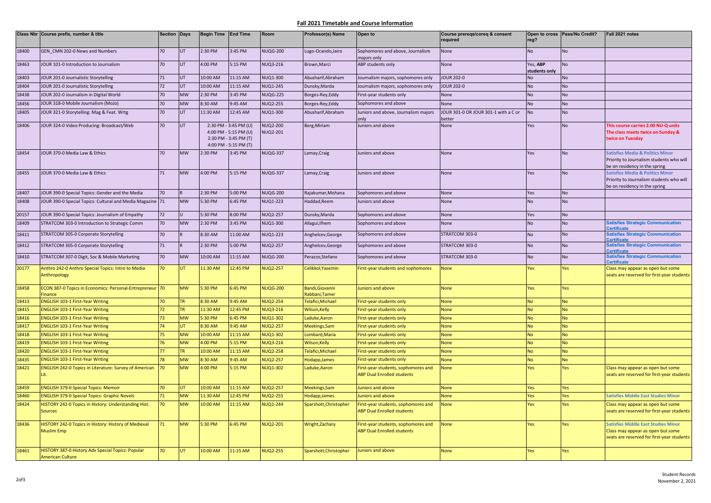## **Fall 2021 Timetable and Course Information**

|                | Class Nbr Course prefix, number & title                                            | Section Days    |                 | Begin Time End Time |                                                                                                  | Room                               | Professor(s) Name                  | Open to                                                                  | Course prereqs/coreq & consent<br>required     | reg?                      | Open to cross Pass/No Credit? | Fall 2021 notes                                                                                                               |
|----------------|------------------------------------------------------------------------------------|-----------------|-----------------|---------------------|--------------------------------------------------------------------------------------------------|------------------------------------|------------------------------------|--------------------------------------------------------------------------|------------------------------------------------|---------------------------|-------------------------------|-------------------------------------------------------------------------------------------------------------------------------|
| 18400          | GEN CMN 202-0 News and Numbers                                                     | 70              | UT              | 2:30 PM             | 3:45 PM                                                                                          | <b>NUQG-200</b>                    | Lugo-Ocando, Jairo                 | Sophomores and above, Journalism<br>najors only                          | None                                           | No                        | <b>No</b>                     |                                                                                                                               |
| 18463          | JOUR 101-0 Introduction to Journalism                                              | 70              | UT              | 4:00 PM             | 5:15 PM                                                                                          | <b>NUQ3-216</b>                    | Brown, Marci                       | ABP students only                                                        | None                                           | Yes, ABP<br>students only | <b>No</b>                     |                                                                                                                               |
| 18403          | JOUR 201-0 Journalistic Storytelling                                               | 71              | UT              | 10:00 AM            | 11:15 AM                                                                                         | NUQ1-300                           | Abusharif, Abraham                 | Journalism majors, sophomores only                                       | <b>JOUR 202-0</b>                              | No                        | <b>No</b>                     |                                                                                                                               |
| 18404          | JOUR 201-0 Journalistic Storytelling                                               | 72              | UT              | 10:00 AM            | 11:15 AM                                                                                         | <b>NUQ1-245</b>                    | Dunsky, Marda                      | Journalism majors, sophomores only                                       | <b>JOUR 202-0</b>                              | No                        | <b>No</b>                     |                                                                                                                               |
| 18438          | JOUR 202-0 Journalism in Digital World                                             | 70              | <b>MW</b>       | 2:30 PM             | 3:45 PM                                                                                          | <b>NUQG-225</b>                    | Borges-Rey, Eddy                   | First-year students only                                                 | None                                           | No                        | <b>No</b>                     |                                                                                                                               |
| 18456          | JOUR 318-0 Mobile Journalism (MoJo)                                                | 70              | <b>MW</b>       | 8:30 AM             | 9:45 AM                                                                                          | <b>NUQ2-255</b>                    | Borges-Rey, Eddy                   | Sophomores and above                                                     | None                                           | No                        | <b>No</b>                     |                                                                                                                               |
| 18405          | JOUR 321-0 Storytelling: Mag & Feat. Wrtg                                          | 70              | UT              | 11:30 AM            | 12:45 AM                                                                                         | NUQ1-300                           | Abusharif, Abraham                 | Juniors and above, Journalism majors<br>onlv                             | JOUR 301-0 OR JOUR 301-1 with a C or<br>better | No                        | <b>No</b>                     |                                                                                                                               |
| 18406          | JOUR 324-0 Video Producing: Broadcast/Web                                          | 70              | UT              |                     | 2:30 PM - 3:45 PM (U)<br>4:00 PM - 5:15 PM (U)<br>2:30 PM - 3:45 PM (T)<br>4:00 PM - 5:15 PM (T) | <b>NUQ2-200</b><br><b>NUQ2-201</b> | Berg, Miriam                       | Juniors and above                                                        | None                                           | Yes                       | No                            | This course carries 2.00 NU-Q units<br>The class meets twice on Sunday &<br>twice on Tuesday                                  |
| 18454          | JOUR 370-0 Media Law & Ethics                                                      | 70 <sub>2</sub> | <b>MW</b>       | 2:30 PM             | 3:45 PM                                                                                          | <b>NUQG-337</b>                    | Lamay, Craig                       | Juniors and above                                                        | None                                           | Yes                       | <b>No</b>                     | <b>Satisfies Media &amp; Politics Minor</b><br>Priority to Journalism students who will<br>be on residency in the spring      |
| 18455          | JOUR 370-0 Media Law & Ethics                                                      | 71              | <b>MW</b>       | 4:00 PM             | 5:15 PM                                                                                          | <b>NUQG-337</b>                    | Lamay, Craig                       | Juniors and above                                                        | None                                           | Yes                       | <b>No</b>                     | <b>Satisfies Media &amp; Politics Minor</b><br>Priority to Journalism students who will<br>be on residency in the spring      |
| 18407          | JOUR 390-0 Special Topics: Gender and the Media                                    | 70              |                 | 2:30 PM             | 5:00 PM                                                                                          | <b>NUQG-200</b>                    | Rajakumar, Mohana                  | Sophomores and above                                                     | <b>None</b>                                    | Yes                       | <b>No</b>                     |                                                                                                                               |
| 18408          | JOUR 390-0 Special Topics: Cultural and Media Magazine 71                          |                 | <b>MW</b>       | 5:30 PM             | 6:45 PM                                                                                          | <b>NUQ1-223</b>                    | Haddad, Reem                       | Juniors and above                                                        | None                                           | <b>No</b>                 | <b>No</b>                     |                                                                                                                               |
| 20157          | JOUR 390-0 Special Topics: Journalism of Empathy                                   | 72              |                 | 5:30 PM             | 8:00 PM                                                                                          | <b>NUQ2-257</b>                    | Dunsky, Marda                      | Sophomores and above                                                     | None                                           | Yes                       | <b>No</b>                     |                                                                                                                               |
| 18409          | STRATCOM 303-0 Introduction to Strategic Comm                                      | 70              | <b>MW</b>       | 2:30 PM             | 3:45 PM                                                                                          | NUQ1-300                           | Allagui, Ilhem                     | Sophomores and above                                                     | None                                           | No                        | <b>No</b>                     | <b>Satisfies Strategic Communication</b><br>ertificate                                                                        |
| 18411          | STRATCOM 305-0 Corporate Storytelling                                              | 70              |                 | 8:30 AM             | 11:00 AM                                                                                         | <b>NUQ1-223</b>                    | Anghelcev, George                  | Sophomores and above                                                     | STRATCOM 303-0                                 | No                        | <b>No</b>                     | <b>Satisfies Strategic Communication</b><br>ertificate                                                                        |
| 18412          | STRATCOM 305-0 Corporate Storytelling                                              | 71              |                 | 2:30 PM             | 5:00 PM                                                                                          | <b>NUQ2-257</b>                    | Anghelcev, George                  | Sophomores and above                                                     | STRATCOM 303-0                                 | No                        | <b>No</b>                     | <b>Satisfies Strategic Communication</b><br>ertificate                                                                        |
| 18410          | STRATCOM 307-0 Digit, Soc & Mobile Marketing                                       | 70              | <b>MW</b>       | 10:00 AM            | 11:15 AM                                                                                         | <b>NUQG-200</b>                    | Perazzo, Stefano                   | Sophomores and above                                                     | STRATCOM 303-0                                 | No                        | <b>No</b>                     | <b>Satisfies Strategic Communication</b><br>ertificate                                                                        |
| 20177          | Anthro 242-0 Anthro Special Topics: Intro to Media<br>Anthropology                 | 70              |                 | 11:30 AM            | 12:45 PM                                                                                         | NUQ2-257                           | Celikkol, Yasemin                  | First-year students and sophomores                                       | <b>None</b>                                    | es                        | Yes                           | Class may appear as open but some<br>seats are reserved for first-year students                                               |
| 18458          | ECON 387-0 Topics in Economics: Personal-Entrepreneur 70<br>Finance                |                 | <b>MW</b>       | 5:30 PM             | 6:45 PM                                                                                          | <b>NUQG-200</b>                    | Bandi, Giovanni<br>Rabbani, Tamer  | Juniors and above                                                        | <b>None</b>                                    | Yes                       | Yes                           |                                                                                                                               |
| 18413          | <b>ENGLISH 103-1 First-Year Writing</b>                                            | 70              | TR.             | 8:30 AM             | 9:45 AM                                                                                          | <b>NUQ2-254</b>                    | Telafici, Michael                  | First-year students only                                                 | <b>None</b>                                    | <b>No</b>                 | <b>No</b>                     |                                                                                                                               |
| 18415          | <b>ENGLISH 103-1 First-Year Writing</b>                                            | 72              | TR.             | 11:30 AM            | 12:45 PM                                                                                         | <b>NUQ3-216</b>                    | Wilson, Kelly                      | <b>First-year students only</b>                                          | <b>None</b>                                    | <b>No</b>                 | <b>No</b>                     |                                                                                                                               |
| 18416          | <b>ENGLISH 103-1 First-Year Writing</b>                                            | 73              | <b>MW</b>       | 5:30 PM             | 6:45 PM                                                                                          | <b>NUQ1-302</b>                    | Laduke, Aaron                      | First-year students only                                                 | <b>None</b>                                    | <b>No</b>                 | <b>No</b>                     |                                                                                                                               |
| 18417          | <b>ENGLISH 103-1 First-Year Writing</b>                                            | 74              | IT              | 8:30 AM             | 9:45 AM                                                                                          | <b>NUQ2-257</b>                    | Meekings, Sam                      | First-year students only                                                 | <b>None</b>                                    | <b>No</b>                 | <b>No</b>                     |                                                                                                                               |
| 18418          | <b>ENGLISH 103-1 First-Year Writing</b>                                            | 75              | MW<br><b>MW</b> | 10:00 AM            | 11:15 AM                                                                                         | <b>NUQ1-302</b>                    | Lombard, Maria                     | First-year students only                                                 | None                                           | No                        | <b>No</b>                     |                                                                                                                               |
| 18419          | <b>ENGLISH 103-1 First-Year Writing</b><br><b>ENGLISH 103-1 First-Year Writing</b> | 76<br>77        | TR.             | 4:00 PM<br>10:00 AM | 5:15 PM<br>11:15 AM                                                                              | <b>NUQ3-216</b><br><b>NUQ2-258</b> | Wilson, Kelly                      | First-year students only<br>First-year students only                     | None<br>None                                   | No<br>VO.                 | <b>No</b>                     |                                                                                                                               |
| 18420<br>18435 | <b>ENGLISH 103-1 First-Year Writing</b>                                            | 78              | <b>MW</b>       | $3:30$ AM           | 9:45 AM                                                                                          | <b>NUQ2-257</b>                    | Telafici, Michael<br>Hodapp, James | <b>First-year students only</b>                                          | <b>None</b>                                    | No                        | <b>No</b><br><b>No</b>        |                                                                                                                               |
| 18421          | ENGLISH 242-0 Topics in Literature: Survey of American                             | 170             | MW              | 4:00 PM             | 5:15 PM                                                                                          | <b>NUQ1-302</b>                    | Laduke, Aaron                      | First-year students, sophomores and                                      | <b>None</b>                                    | Yes                       | Yes                           | Class may appear as open but some                                                                                             |
|                | Lit.                                                                               |                 |                 |                     |                                                                                                  |                                    |                                    | <b>ABP Dual Enrolled students</b>                                        |                                                |                           |                               | seats are reserved for first-year students                                                                                    |
| 18459          | <b>ENGLISH 379-0 Special Topics: Memoir</b>                                        | 70              | IT              | 10:00 AM            | 11:15 AM                                                                                         | <b>NUQ2-257</b>                    | Meekings, Sam                      | luniors and above                                                        | <b>None</b>                                    | Yes                       | Yes                           |                                                                                                                               |
| 18460          | <b>ENGLISH 379-0 Special Topics: Graphic Novels</b>                                | 71              | <b>MW</b>       | 11:30 AM            | 12:45 PM                                                                                         | <b>NUQ2-255</b>                    | Hodapp, James                      | uniors and above                                                         | None                                           | Yes                       | Yes                           | <b>Satisfies Middle East Studies Minor</b>                                                                                    |
| 18424          | HISTORY 242-0 Topics in History: Understanding Hist.<br><b>Sources</b>             | 70              | <b>MW</b>       | 10:00 AM            | 11:15 AM                                                                                         | <b>NUQ1-244</b>                    | Sparshott, Christopher             | First-year students, sophomores and<br><b>ABP Dual Enrolled students</b> | <b>None</b>                                    | es                        | Yes                           | Class may appear as open but some<br>seats are reserved for first-year students                                               |
| 18436          | HISTORY 242-0 Topics in History: History of Medieval<br><b>Muslim Emp</b>          | 71              | <b>MW</b>       | 5:30 PM             | 6:45 PM                                                                                          | <b>NUQ2-201</b>                    | Wright, Zachary                    | First-year students, sophomores and<br><b>ABP Dual Enrolled students</b> | <b>None</b>                                    | Yes                       | Yes                           | <b>Satisfies Middle East Studies Minor</b><br>Class may appear as open but some<br>seats are reserved for first-year students |
| 18461          | HISTORY 387-0 History Adv Special Topics: Popular<br><b>American Culture</b>       | 70              | UT              | 10:00 AM            | 11:15 AM                                                                                         | <b>NUQ2-255</b>                    | Sparshott, Christopher             | Juniors and above                                                        | <b>None</b>                                    | Yes                       | Yes                           |                                                                                                                               |